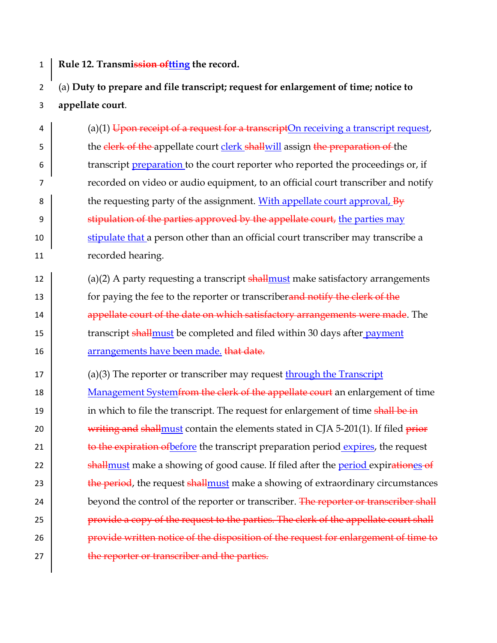1 **Rule 12. Transmission oftting the record.**

## 2 (a) **Duty to prepare and file transcript; request for enlargement of time; notice to**  3 **appellate court**.

4 (a)(1) Upon receipt of a request for a transcriptOn receiving a transcript request, 5 the clerk of the appellate court clerk shallwill assign the preparation of the 6 transcript *preparation* to the court reporter who reported the proceedings or, if 7 recorded on video or audio equipment, to an official court transcriber and notify 8 the requesting party of the assignment. With appellate court approval,  $B_y$ 9 Stipulation of the parties approved by the appellate court, the parties may 10 stipulate that a person other than an official court transcriber may transcribe a 11 recorded hearing.

- 12  $\vert$  (a)(2) A party requesting a transcript shall must make satisfactory arrangements 13 for paying the fee to the reporter or transcriberand notify the clerk of the 14  $\parallel$  appellate court of the date on which satisfactory arrangements were made. The 15 Transcript shall must be completed and filed within 30 days after payment 16 arrangements have been made. that date.
- 17 (a)(3) The reporter or transcriber may request through the Transcript

18 Management System from the clerk of the appellate court an enlargement of time 19 in which to file the transcript. The request for enlargement of time shall be in 20 writing and shall must contain the elements stated in  $C[A 5-201(1)]$ . If filed prior 21 **to the expiration of before the transcript preparation period expires, the request** 22 **Shall stands** make a showing of good cause. If filed after the period expirationes of 23 the period, the request shall must make a showing of extraordinary circumstances 24 beyond the control of the reporter or transcriber. The reporter or transcriber shall 25 **provide a copy of the request to the parties. The clerk of the appellate court shall** 26 **provide written notice of the disposition of the request for enlargement of time to** 27 **the reporter or transcriber and the parties.**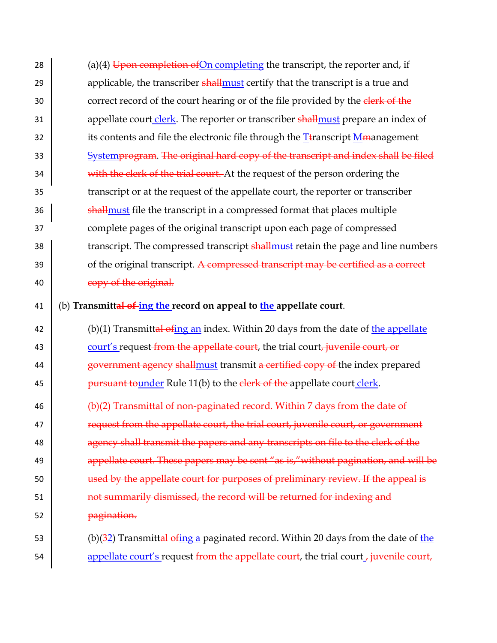28 (a)(4) Upon completion of On completing the transcript, the reporter and, if 29  $\vert$  applicable, the transcriber shall must certify that the transcript is a true and 30 correct record of the court hearing or of the file provided by the elerk of the 31 appellate court clerk. The reporter or transcriber shall must prepare an index of 32 its contents and file the electronic file through the T $\frac{1}{2}$  Examelement 33 Systemprogram. The original hard copy of the transcript and index shall be filed 34 with the clerk of the trial court. At the request of the person ordering the 35 transcript or at the request of the appellate court, the reporter or transcriber 36 **Shall must file the transcript in a compressed format that places multiple** 37 complete pages of the original transcript upon each page of compressed 38 transcript. The compressed transcript shall must retain the page and line numbers  $39$  of the original transcript. A compressed transcript may be certified as a correct 40 copy of the original.

41 (b) **Transmittal of ing the record on appeal to the appellate court**.

42 (b)(1) Transmittal ofing an index. Within 20 days from the date of the appellate 43 court's request from the appellate court, the trial court, juvenile court, or 44  $\vert$  government agency shall must transmit a certified copy of the index prepared 45 **pursuant to under** Rule 11(b) to the clerk of the appellate court clerk.

46 (b)(2) Transmittal of non-paginated record. Within 7 days from the date of  $\parallel$  request from the appellate court, the trial court, juvenile court, or government **agency shall transmit the papers and any transcripts on file to the clerk of the**  $\vert$  appellate court. These papers may be sent "as is," without pagination, and will be 50 used by the appellate court for purposes of preliminary review. If the appeal is **how informarizy dismissed, the record will be returned for indexing and pagination.** 

53 (b)( $\frac{32}{2}$ ) Transmittal ofing a paginated record. Within 20 days from the date of the 54 appellate court's request from the appellate court, the trial court  $\frac{1}{t}$  juvenile court,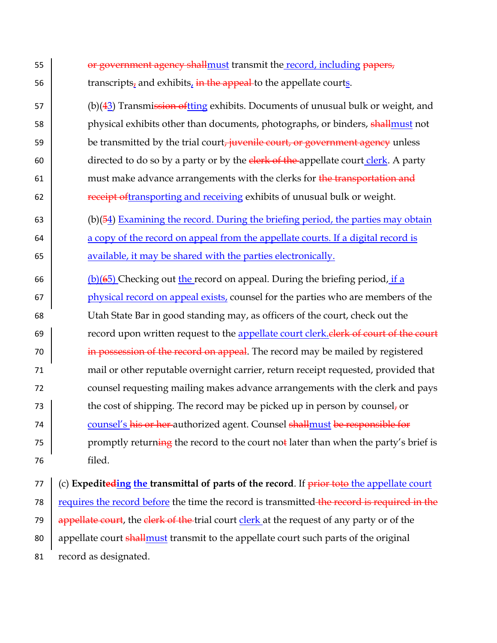55 **or government agency shall must transmit the record, including papers,** 56  $\vert$  transcripts, and exhibits, in the appeal to the appellate courts.  $57$  (b)(43) Transmission oftting exhibits. Documents of unusual bulk or weight, and 58 physical exhibits other than documents, photographs, or binders, shallmust not 59 be transmitted by the trial court, juvenile court, or government agency unless 60 directed to do so by a party or by the  $\frac{\text{elerk of the}}{\text{apellate}}$  court clerk. A party 61 must make advance arrangements with the clerks for  $\frac{1}{2}$  the transportation and 62 **receipt of the analytic state of the set of the receiving exhibits of unusual bulk or weight.** 63 (b)( $\overline{54}$ ) Examining the record. During the briefing period, the parties may obtain 64 a copy of the record on appeal from the appellate courts. If a digital record is 65 available, it may be shared with the parties electronically. 66 (b)( $\frac{6}{5}$ ) Checking out the record on appeal. During the briefing period, if a 67 physical record on appeal exists, counsel for the parties who are members of the 68 Utah State Bar in good standing may, as officers of the court, check out the 69 **Fig. 20** record upon written request to the appellate court clerk. **Clerk of court of the court** 70 in possession of the record on appeal. The record may be mailed by registered 71 mail or other reputable overnight carrier, return receipt requested, provided that 72 counsel requesting mailing makes advance arrangements with the clerk and pays 73 the cost of shipping. The record may be picked up in person by counsel, or 74 counsel's his or her authorized agent. Counsel shallmust be responsible for 75 promptly returning the record to the court not later than when the party's brief is 76 filed.

77 (c) **Expediteding the transmittal of parts of the record**. If prior toto the appellate court 78 requires the record before the time the record is transmitted the record is required in the 79  $\frac{1}{2}$  appellate court, the clerk of the trial court clerk at the request of any party or of the 80 appellate court shallmust transmit to the appellate court such parts of the original 81 record as designated.